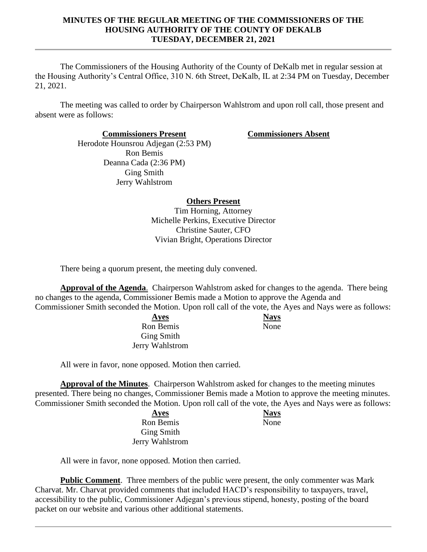The Commissioners of the Housing Authority of the County of DeKalb met in regular session at the Housing Authority's Central Office, 310 N. 6th Street, DeKalb, IL at 2:34 PM on Tuesday, December 21, 2021.

The meeting was called to order by Chairperson Wahlstrom and upon roll call, those present and absent were as follows:

> **Commissioners Present Commissioners Absent** Herodote Hounsrou Adjegan (2:53 PM) Ron Bemis Deanna Cada (2:36 PM) Ging Smith Jerry Wahlstrom

**Others Present**

Tim Horning, Attorney Michelle Perkins, Executive Director Christine Sauter, CFO Vivian Bright, Operations Director

There being a quorum present, the meeting duly convened.

**Approval of the Agenda**. Chairperson Wahlstrom asked for changes to the agenda. There being no changes to the agenda, Commissioner Bemis made a Motion to approve the Agenda and

Commissioner Smith seconded the Motion. Upon roll call of the vote, the Ayes and Nays were as follows:

**Ayes Nays** Ron Bemis Ging Smith Jerry Wahlstrom

None

All were in favor, none opposed. Motion then carried.

**Approval of the Minutes**. Chairperson Wahlstrom asked for changes to the meeting minutes presented. There being no changes, Commissioner Bemis made a Motion to approve the meeting minutes. Commissioner Smith seconded the Motion. Upon roll call of the vote, the Ayes and Nays were as follows:

> **Ayes Nays** Ron Bemis Ging Smith Jerry Wahlstrom

None

All were in favor, none opposed. Motion then carried.

**Public Comment**. Three members of the public were present, the only commenter was Mark Charvat. Mr. Charvat provided comments that included HACD's responsibility to taxpayers, travel, accessibility to the public, Commissioner Adjegan's previous stipend, honesty, posting of the board packet on our website and various other additional statements.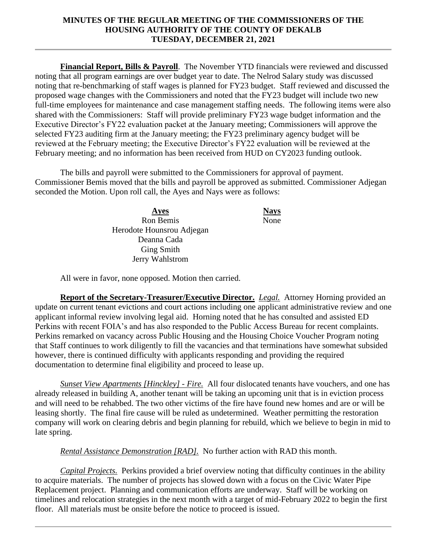**Financial Report, Bills & Payroll**. The November YTD financials were reviewed and discussed noting that all program earnings are over budget year to date. The Nelrod Salary study was discussed noting that re-benchmarking of staff wages is planned for FY23 budget. Staff reviewed and discussed the proposed wage changes with the Commissioners and noted that the FY23 budget will include two new full-time employees for maintenance and case management staffing needs. The following items were also shared with the Commissioners: Staff will provide preliminary FY23 wage budget information and the Executive Director's FY22 evaluation packet at the January meeting; Commissioners will approve the selected FY23 auditing firm at the January meeting; the FY23 preliminary agency budget will be reviewed at the February meeting; the Executive Director's FY22 evaluation will be reviewed at the February meeting; and no information has been received from HUD on CY2023 funding outlook.

The bills and payroll were submitted to the Commissioners for approval of payment. Commissioner Bemis moved that the bills and payroll be approved as submitted. Commissioner Adjegan seconded the Motion. Upon roll call, the Ayes and Nays were as follows:

> **Ayes Nays** Ron Bemis Herodote Hounsrou Adjegan Deanna Cada Ging Smith Jerry Wahlstrom

None

All were in favor, none opposed. Motion then carried.

**Report of the Secretary-Treasurer/Executive Director.** *Legal.* Attorney Horning provided an update on current tenant evictions and court actions including one applicant administrative review and one applicant informal review involving legal aid. Horning noted that he has consulted and assisted ED Perkins with recent FOIA's and has also responded to the Public Access Bureau for recent complaints. Perkins remarked on vacancy across Public Housing and the Housing Choice Voucher Program noting that Staff continues to work diligently to fill the vacancies and that terminations have somewhat subsided however, there is continued difficulty with applicants responding and providing the required documentation to determine final eligibility and proceed to lease up.

*Sunset View Apartments [Hinckley] - Fire.* All four dislocated tenants have vouchers, and one has already released in building A, another tenant will be taking an upcoming unit that is in eviction process and will need to be rehabbed. The two other victims of the fire have found new homes and are or will be leasing shortly. The final fire cause will be ruled as undetermined. Weather permitting the restoration company will work on clearing debris and begin planning for rebuild, which we believe to begin in mid to late spring.

*Rental Assistance Demonstration [RAD].* No further action with RAD this month.

*Capital Projects.* Perkins provided a brief overview noting that difficulty continues in the ability to acquire materials. The number of projects has slowed down with a focus on the Civic Water Pipe Replacement project. Planning and communication efforts are underway. Staff will be working on timelines and relocation strategies in the next month with a target of mid-February 2022 to begin the first floor. All materials must be onsite before the notice to proceed is issued.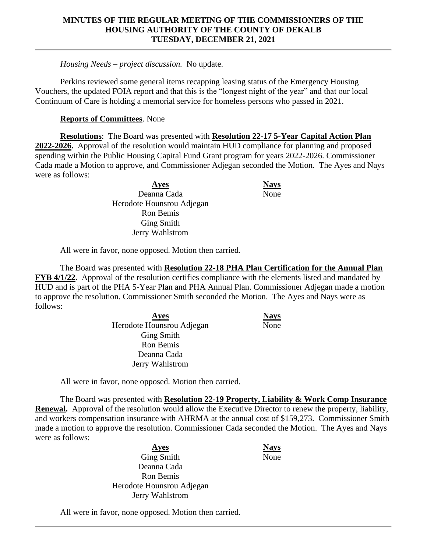# *Housing Needs – project discussion.* No update.

Perkins reviewed some general items recapping leasing status of the Emergency Housing Vouchers, the updated FOIA report and that this is the "longest night of the year" and that our local Continuum of Care is holding a memorial service for homeless persons who passed in 2021.

# **Reports of Committees**. None

**Resolutions**: The Board was presented with **Resolution 22-17 5-Year Capital Action Plan 2022-2026.** Approval of the resolution would maintain HUD compliance for planning and proposed spending within the Public Housing Capital Fund Grant program for years 2022-2026. Commissioner Cada made a Motion to approve, and Commissioner Adjegan seconded the Motion. The Ayes and Nays were as follows:

> **Ayes Nays** Deanna Cada Herodote Hounsrou Adjegan Ron Bemis Ging Smith Jerry Wahlstrom

None

**Ayes Nays**

None

All were in favor, none opposed. Motion then carried.

The Board was presented with **Resolution 22-18 PHA Plan Certification for the Annual Plan FYB 4/1/22.** Approval of the resolution certifies compliance with the elements listed and mandated by HUD and is part of the PHA 5-Year Plan and PHA Annual Plan. Commissioner Adjegan made a motion to approve the resolution. Commissioner Smith seconded the Motion. The Ayes and Nays were as follows:

| Ayes                      |  |
|---------------------------|--|
| Herodote Hounsrou Adjegan |  |
| Ging Smith                |  |
| <b>Ron Bemis</b>          |  |
| Deanna Cada               |  |
| Jerry Wahlstrom           |  |

All were in favor, none opposed. Motion then carried.

The Board was presented with **Resolution 22-19 Property, Liability & Work Comp Insurance Renewal.** Approval of the resolution would allow the Executive Director to renew the property, liability, and workers compensation insurance with AHRMA at the annual cost of \$159,273. Commissioner Smith made a motion to approve the resolution. Commissioner Cada seconded the Motion. The Ayes and Nays were as follows:

> **Ayes Nays** Ging Smith Deanna Cada Ron Bemis Herodote Hounsrou Adjegan Jerry Wahlstrom

None

All were in favor, none opposed. Motion then carried.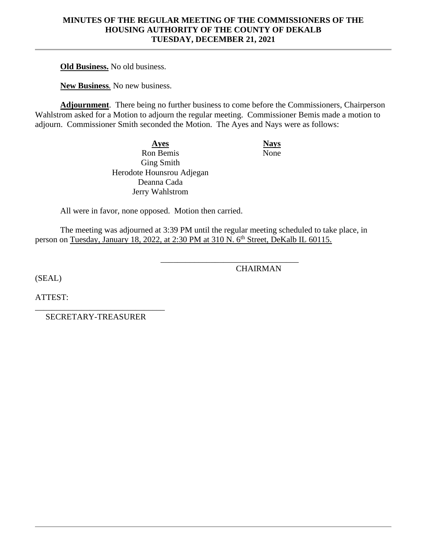**Old Business.** No old business.

**New Business***.* No new business.

**Adjournment**. There being no further business to come before the Commissioners, Chairperson Wahlstrom asked for a Motion to adjourn the regular meeting. Commissioner Bemis made a motion to adjourn. Commissioner Smith seconded the Motion. The Ayes and Nays were as follows:

> **Ayes Nays** Ron Bemis Ging Smith Herodote Hounsrou Adjegan Deanna Cada Jerry Wahlstrom

None

All were in favor, none opposed. Motion then carried.

The meeting was adjourned at 3:39 PM until the regular meeting scheduled to take place, in person on Tuesday, January 18, 2022, at 2:30 PM at 310 N. 6th Street, DeKalb IL 60115.

\_\_\_\_\_\_\_\_\_\_\_\_\_\_\_\_\_\_\_\_\_\_\_\_\_\_\_\_\_\_\_\_\_

**CHAIRMAN** 

(SEAL)

ATTEST:

\_\_\_\_\_\_\_\_\_\_\_\_\_\_\_\_\_\_\_\_\_\_\_\_\_\_\_\_\_\_\_ SECRETARY-TREASURER